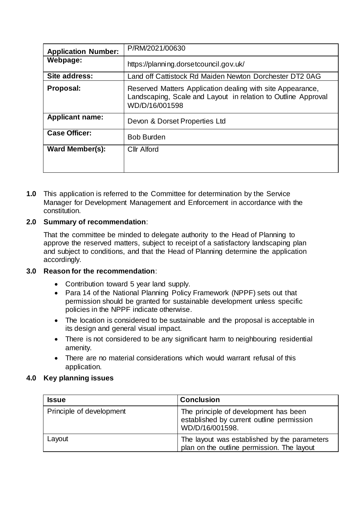| <b>Application Number:</b> | P/RM/2021/00630                                                                                                                               |  |
|----------------------------|-----------------------------------------------------------------------------------------------------------------------------------------------|--|
| Webpage:                   | https://planning.dorsetcouncil.gov.uk/                                                                                                        |  |
| Site address:              | Land off Cattistock Rd Maiden Newton Dorchester DT2 0AG                                                                                       |  |
| Proposal:                  | Reserved Matters Application dealing with site Appearance,<br>Landscaping, Scale and Layout in relation to Outline Approval<br>WD/D/16/001598 |  |
| <b>Applicant name:</b>     | Devon & Dorset Properties Ltd                                                                                                                 |  |
| <b>Case Officer:</b>       | <b>Bob Burden</b>                                                                                                                             |  |
| <b>Ward Member(s):</b>     | <b>Cllr Alford</b>                                                                                                                            |  |

**1.0** This application is referred to the Committee for determination by the Service Manager for Development Management and Enforcement in accordance with the constitution.

# **2.0 Summary of recommendation**:

That the committee be minded to delegate authority to the Head of Planning to approve the reserved matters, subject to receipt of a satisfactory landscaping plan and subject to conditions, and that the Head of Planning determine the application accordingly.

## **3.0 Reason for the recommendation**:

- Contribution toward 5 year land supply.
- Para 14 of the National Planning Policy Framework (NPPF) sets out that permission should be granted for sustainable development unless specific policies in the NPPF indicate otherwise.
- The location is considered to be sustainable and the proposal is acceptable in its design and general visual impact.
- There is not considered to be any significant harm to neighbouring residential amenity.
- There are no material considerations which would warrant refusal of this application.

### **4.0 Key planning issues**

| <b>Issue</b>             | <b>Conclusion</b>                                                                                     |
|--------------------------|-------------------------------------------------------------------------------------------------------|
| Principle of development | The principle of development has been<br>established by current outline permission<br>WD/D/16/001598. |
| Layout                   | The layout was established by the parameters<br>plan on the outline permission. The layout            |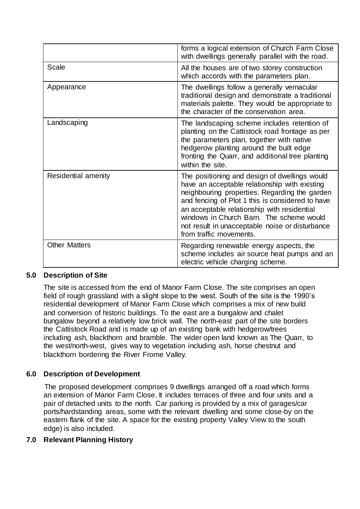|                      | forms a logical extension of Church Farm Close<br>with dwellings generally parallel with the road.                                                                                                                                                                                                                                                                           |
|----------------------|------------------------------------------------------------------------------------------------------------------------------------------------------------------------------------------------------------------------------------------------------------------------------------------------------------------------------------------------------------------------------|
| Scale                | All the houses are of two storey construction<br>which accords with the parameters plan.                                                                                                                                                                                                                                                                                     |
| Appearance           | The dwellings follow a generally vernacular<br>traditional design and demonstrate a traditional<br>materials palette. They would be appropriate to<br>the character of the conservation area.                                                                                                                                                                                |
| Landscaping          | The landscaping scheme includes retention of<br>planting on the Cattistock road frontage as per<br>the parameters plan, together with native<br>hedgerow planting around the built edge<br>fronting the Quarr, and additional tree planting<br>within the site.                                                                                                              |
| Residential amenity  | The positioning and design of dwellings would<br>have an acceptable relationship with existing<br>neighbouring properties. Regarding the garden<br>and fencing of Plot 1 this is considered to have<br>an acceptable relationship with residential<br>windows in Church Barn. The scheme would<br>not result in unacceptable noise or disturbance<br>from traffic movements. |
| <b>Other Matters</b> | Regarding renewable energy aspects, the<br>scheme includes air source heat pumps and an<br>electric vehicle charging scheme.                                                                                                                                                                                                                                                 |

# **5.0 Description of Site**

The site is accessed from the end of Manor Farm Close. The site comprises an open field of rough grassland with a slight slope to the west. South of the site is the 1990's residential development of Manor Farm Close which comprises a mix of new build and conversion of historic buildings. To the east are a bungalow and chalet bungalow beyond a relatively low brick wall. The north-east part of the site borders the Cattistock Road and is made up of an existing bank with hedgerow/trees including ash, blackthorn and bramble. The wider open land known as The Quarr, to the west/north-west, gives way to vegetation including ash, horse chestnut and blackthorn bordering the River Frome Valley.

# **6.0 Description of Development**

The proposed development comprises 9 dwellings arranged off a road which forms an extension of Manor Farm Close. It includes terraces of three and four units and a pair of detached units to the north. Car parking is provided by a mix of garages/car ports/hardstanding areas, some with the relevant dwelling and some close-by on the eastern flank of the site. A space for the existing property Valley View to the south edge) is also included.

# **7.0 Relevant Planning History**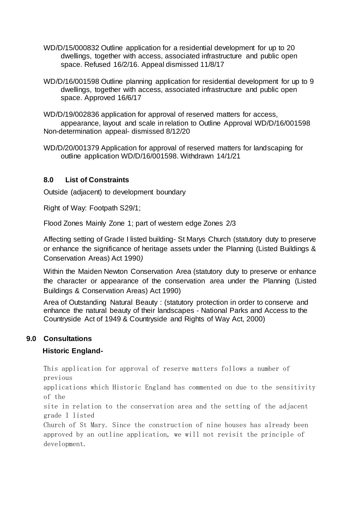- WD/D/15/000832 Outline application for a residential development for up to 20 dwellings, together with access, associated infrastructure and public open space. Refused 16/2/16. Appeal dismissed 11/8/17
- WD/D/16/001598 Outline planning application for residential development for up to 9 dwellings, together with access, associated infrastructure and public open space. Approved 16/6/17

WD/D/19/002836 application for approval of reserved matters for access, appearance, layout and scale in relation to Outline Approval WD/D/16/001598 Non-determination appeal- dismissed 8/12/20

WD/D/20/001379 Application for approval of reserved matters for landscaping for outline application WD/D/16/001598. Withdrawn 14/1/21

### **8.0 List of Constraints**

Outside (adjacent) to development boundary

Right of Way: Footpath S29/1;

Flood Zones Mainly Zone 1; part of western edge Zones 2/3

Affecting setting of Grade I listed building- St Marys Church (statutory duty to preserve or enhance the significance of heritage assets under the Planning (Listed Buildings & Conservation Areas) Act 1990*)*

Within the Maiden Newton Conservation Area (statutory duty to preserve or enhance the character or appearance of the conservation area under the Planning (Listed Buildings & Conservation Areas) Act 1990)

Area of Outstanding Natural Beauty : (statutory protection in order to conserve and enhance the natural beauty of their landscapes - National Parks and Access to the Countryside Act of 1949 & Countryside and Rights of Way Act, 2000)

## **9.0 Consultations**

## **Historic England-**

This application for approval of reserve matters follows a number of previous

applications which Historic England has commented on due to the sensitivity of the

site in relation to the conservation area and the setting of the adjacent grade I listed

Church of St Mary. Since the construction of nine houses has already been approved by an outline application, we will not revisit the principle of development.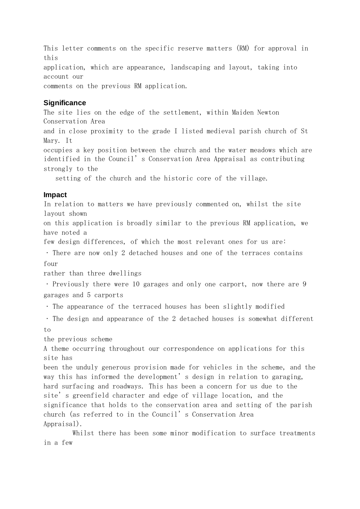This letter comments on the specific reserve matters (RM) for approval in this application, which are appearance, landscaping and layout, taking into account our comments on the previous RM application.

### **Significance**

The site lies on the edge of the settlement, within Maiden Newton Conservation Area

and in close proximity to the grade I listed medieval parish church of St Mary. It

occupies a key position between the church and the water meadows which are identified in the Council's Conservation Area Appraisal as contributing strongly to the

setting of the church and the historic core of the village.

### **Impact**

In relation to matters we have previously commented on, whilst the site layout shown

on this application is broadly similar to the previous RM application, we have noted a

few design differences, of which the most relevant ones for us are:

There are now only 2 detached houses and one of the terraces contains four

rather than three dwellings

Previously there were 10 garages and only one carport, now there are 9 garages and 5 carports

. The appearance of the terraced houses has been slightly modified

 $\cdot$  The design and appearance of the 2 detached houses is somewhat different to

the previous scheme

A theme occurring throughout our correspondence on applications for this site has

been the unduly generous provision made for vehicles in the scheme, and the way this has informed the development's design in relation to garaging, hard surfacing and roadways. This has been a concern for us due to the site's greenfield character and edge of village location, and the significance that holds to the conservation area and setting of the parish church (as referred to in the Council's Conservation Area Appraisal).

 Whilst there has been some minor modification to surface treatments in a few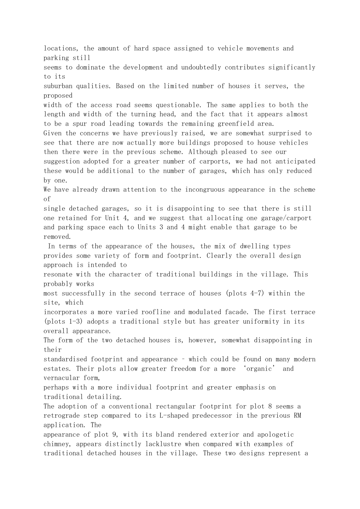locations, the amount of hard space assigned to vehicle movements and parking still seems to dominate the development and undoubtedly contributes significantly to its suburban qualities. Based on the limited number of houses it serves, the proposed width of the access road seems questionable. The same applies to both the length and width of the turning head, and the fact that it appears almost to be a spur road leading towards the remaining greenfield area. Given the concerns we have previously raised, we are somewhat surprised to see that there are now actually more buildings proposed to house vehicles then there were in the previous scheme. Although pleased to see our suggestion adopted for a greater number of carports, we had not anticipated these would be additional to the number of garages, which has only reduced by one. We have already drawn attention to the incongruous appearance in the scheme of single detached garages, so it is disappointing to see that there is still one retained for Unit 4, and we suggest that allocating one garage/carport and parking space each to Units 3 and 4 might enable that garage to be removed. In terms of the appearance of the houses, the mix of dwelling types provides some variety of form and footprint. Clearly the overall design approach is intended to resonate with the character of traditional buildings in the village. This probably works most successfully in the second terrace of houses (plots 4-7) within the site, which incorporates a more varied roofline and modulated facade. The first terrace (plots 1-3) adopts a traditional style but has greater uniformity in its overall appearance. The form of the two detached houses is, however, somewhat disappointing in their standardised footprint and appearance – which could be found on many modern estates. Their plots allow greater freedom for a more 'organic' and vernacular form, perhaps with a more individual footprint and greater emphasis on traditional detailing. The adoption of a conventional rectangular footprint for plot 8 seems a retrograde step compared to its L-shaped predecessor in the previous RM application. The appearance of plot 9, with its bland rendered exterior and apologetic chimney, appears distinctly lacklustre when compared with examples of traditional detached houses in the village. These two designs represent a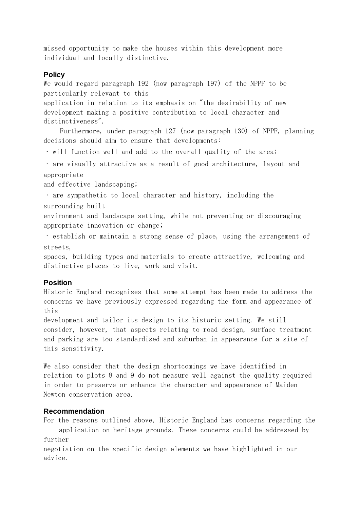missed opportunity to make the houses within this development more individual and locally distinctive.

#### **Policy**

We would regard paragraph 192 (now paragraph 197) of the NPPF to be particularly relevant to this

application in relation to its emphasis on "the desirability of new development making a positive contribution to local character and distinctiveness".

 Furthermore, under paragraph 127 (now paragraph 130) of NPPF, planning decisions should aim to ensure that developments:

will function well and add to the overall quality of the area;

are visually attractive as a result of good architecture, layout and appropriate

and effective landscaping;

are sympathetic to local character and history, including the surrounding built

environment and landscape setting, while not preventing or discouraging appropriate innovation or change;

establish or maintain a strong sense of place, using the arrangement of streets,

spaces, building types and materials to create attractive, welcoming and distinctive places to live, work and visit.

#### **Position**

Historic England recognises that some attempt has been made to address the concerns we have previously expressed regarding the form and appearance of this

development and tailor its design to its historic setting. We still consider, however, that aspects relating to road design, surface treatment and parking are too standardised and suburban in appearance for a site of this sensitivity.

We also consider that the design shortcomings we have identified in relation to plots 8 and 9 do not measure well against the quality required in order to preserve or enhance the character and appearance of Maiden Newton conservation area.

### **Recommendation**

For the reasons outlined above, Historic England has concerns regarding the application on heritage grounds. These concerns could be addressed by further

negotiation on the specific design elements we have highlighted in our advice.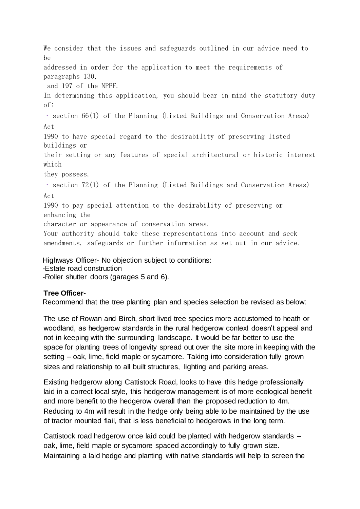We consider that the issues and safeguards outlined in our advice need to be

addressed in order for the application to meet the requirements of paragraphs 130,

and 197 of the NPPF.

In determining this application, you should bear in mind the statutory duty of:

section 66(1) of the Planning (Listed Buildings and Conservation Areas) Act

1990 to have special regard to the desirability of preserving listed buildings or

their setting or any features of special architectural or historic interest which

they possess.

 $\cdot$  section 72(1) of the Planning (Listed Buildings and Conservation Areas) Act

1990 to pay special attention to the desirability of preserving or enhancing the

character or appearance of conservation areas.

Your authority should take these representations into account and seek amendments, safeguards or further information as set out in our advice.

Highways Officer- No objection subject to conditions:

-Estate road construction

-Roller shutter doors (garages 5 and 6).

# **Tree Officer-**

Recommend that the tree planting plan and species selection be revised as below:

The use of Rowan and Birch, short lived tree species more accustomed to heath or woodland, as hedgerow standards in the rural hedgerow context doesn't appeal and not in keeping with the surrounding landscape. It would be far better to use the space for planting trees of longevity spread out over the site more in keeping with the setting – oak, lime, field maple or sycamore. Taking into consideration fully grown sizes and relationship to all built structures, lighting and parking areas.

Existing hedgerow along Cattistock Road, looks to have this hedge professionally laid in a correct local style, this hedgerow management is of more ecological benefit and more benefit to the hedgerow overall than the proposed reduction to 4m. Reducing to 4m will result in the hedge only being able to be maintained by the use of tractor mounted flail, that is less beneficial to hedgerows in the long term.

Cattistock road hedgerow once laid could be planted with hedgerow standards – oak, lime, field maple or sycamore spaced accordingly to fully grown size. Maintaining a laid hedge and planting with native standards will help to screen the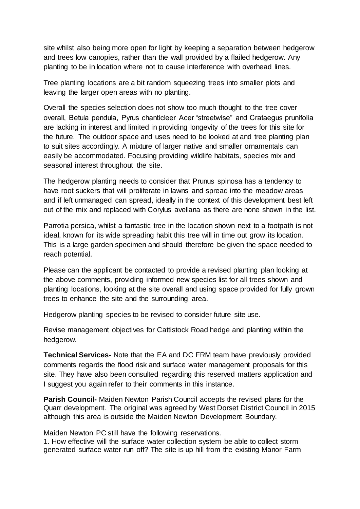site whilst also being more open for light by keeping a separation between hedgerow and trees low canopies, rather than the wall provided by a flailed hedgerow. Any planting to be in location where not to cause interference with overhead lines.

Tree planting locations are a bit random squeezing trees into smaller plots and leaving the larger open areas with no planting.

Overall the species selection does not show too much thought to the tree cover overall, Betula pendula, Pyrus chanticleer Acer "streetwise" and Crataegus prunifolia are lacking in interest and limited in providing longevity of the trees for this site for the future. The outdoor space and uses need to be looked at and tree planting plan to suit sites accordingly. A mixture of larger native and smaller ornamentals can easily be accommodated. Focusing providing wildlife habitats, species mix and seasonal interest throughout the site.

The hedgerow planting needs to consider that Prunus spinosa has a tendency to have root suckers that will proliferate in lawns and spread into the meadow areas and if left unmanaged can spread, ideally in the context of this development best left out of the mix and replaced with Corylus avellana as there are none shown in the list.

Parrotia persica, whilst a fantastic tree in the location shown next to a footpath is not ideal, known for its wide spreading habit this tree will in time out grow its location. This is a large garden specimen and should therefore be given the space needed to reach potential.

Please can the applicant be contacted to provide a revised planting plan looking at the above comments, providing informed new species list for all trees shown and planting locations, looking at the site overall and using space provided for fully grown trees to enhance the site and the surrounding area.

Hedgerow planting species to be revised to consider future site use.

Revise management objectives for Cattistock Road hedge and planting within the hedgerow.

**Technical Services-** Note that the EA and DC FRM team have previously provided comments regards the flood risk and surface water management proposals for this site. They have also been consulted regarding this reserved matters application and I suggest you again refer to their comments in this instance.

**Parish Council-** Maiden Newton Parish Council accepts the revised plans for the Quarr development. The original was agreed by West Dorset District Council in 2015 although this area is outside the Maiden Newton Development Boundary.

Maiden Newton PC still have the following reservations.

1. How effective will the surface water collection system be able to collect storm generated surface water run off? The site is up hill from the existing Manor Farm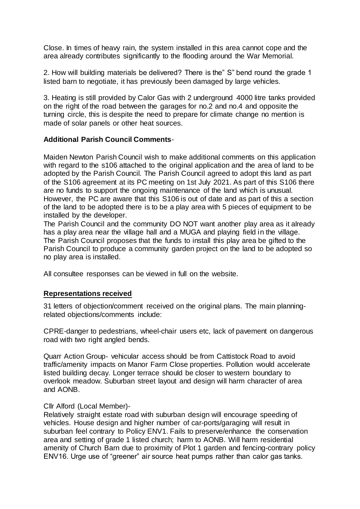Close. In times of heavy rain, the system installed in this area cannot cope and the area already contributes significantly to the flooding around the War Memorial.

2. How will building materials be delivered? There is the" S" bend round the grade 1 listed barn to negotiate, it has previously been damaged by large vehicles.

3. Heating is still provided by Calor Gas with 2 underground 4000 litre tanks provided on the right of the road between the garages for no.2 and no.4 and opposite the turning circle, this is despite the need to prepare for climate change no mention is made of solar panels or other heat sources.

## **Additional Parish Council Comments**-

Maiden Newton Parish Council wish to make additional comments on this application with regard to the s106 attached to the original application and the area of land to be adopted by the Parish Council. The Parish Council agreed to adopt this land as part of the S106 agreement at its PC meeting on 1st July 2021. As part of this S106 there are no funds to support the ongoing maintenance of the land which is unusual. However, the PC are aware that this S106 is out of date and as part of this a section of the land to be adopted there is to be a play area with 5 pieces of equipment to be installed by the developer.

The Parish Council and the community DO NOT want another play area as it already has a play area near the village hall and a MUGA and playing field in the village. The Parish Council proposes that the funds to install this play area be gifted to the Parish Council to produce a community garden project on the land to be adopted so no play area is installed.

All consultee responses can be viewed in full on the website.

## **Representations received**

31 letters of objection/comment received on the original plans. The main planningrelated objections/comments include:

CPRE-danger to pedestrians, wheel-chair users etc, lack of pavement on dangerous road with two right angled bends.

Quarr Action Group- vehicular access should be from Cattistock Road to avoid traffic/amenity impacts on Manor Farm Close properties. Pollution would accelerate listed building decay. Longer terrace should be closer to western boundary to overlook meadow. Suburban street layout and design will harm character of area and AONB.

## Cllr Alford (Local Member)-

Relatively straight estate road with suburban design will encourage speeding of vehicles. House design and higher number of car-ports/garaging will result in suburban feel contrary to Policy ENV1. Fails to preserve/enhance the conservation area and setting of grade 1 listed church; harm to AONB. Will harm residential amenity of Church Barn due to proximity of Plot 1 garden and fencing-contrary policy ENV16. Urge use of "greener" air source heat pumps rather than calor gas tanks.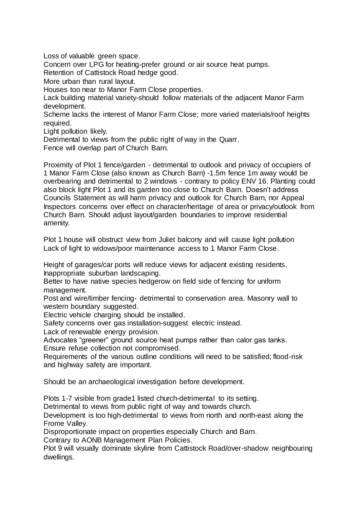Loss of valuable green space.

Concern over LPG for heating-prefer ground or air source heat pumps.

Retention of Cattistock Road hedge good.

More urban than rural layout.

Houses too near to Manor Farm Close properties.

Lack building material variety-should follow materials of the adjacent Manor Farm development.

Scheme lacks the interest of Manor Farm Close; more varied materials/roof heights required.

Light pollution likely.

Detrimental to views from the public right of way in the Quarr.

Fence will overlap part of Church Barn.

Proximity of Plot 1 fence/garden - detrimental to outlook and privacy of occupiers of 1 Manor Farm Close (also known as Church Barn) -1.5m fence 1m away would be overbearing and detrimental to 2 windows - contrary to policy ENV 16. Planting could also block light Plot 1 and its garden too close to Church Barn. Doesn't address Councils Statement as will harm privacy and outlook for Church Barn, nor Appeal Inspectors concerns over effect on character/heritage of area or privacy/outlook from Church Barn. Should adjust layout/garden boundaries to improve residential amenity.

Plot 1 house will obstruct view from Juliet balcony and will cause light pollution Lack of light to widows/poor maintenance access to 1 Manor Farm Close.

Height of garages/car ports will reduce views for adjacent existing residents. Inappropriate suburban landscaping.

Better to have native species hedgerow on field side of fencing for uniform management.

Post and wire/timber fencing- detrimental to conservation area. Masonry wall to western boundary suggested.

Electric vehicle charging should be installed.

Safety concerns over gas installation-suggest electric instead.

Lack of renewable energy provision.

Advocates "greener" ground source heat pumps rather than calor gas tanks. Ensure refuse collection not compromised.

Requirements of the various outline conditions will need to be satisfied; flood-risk and highway safety are important.

Should be an archaeological investigation before development.

Plots 1-7 visible from grade1 listed church-detrimental to its setting.

Detrimental to views from public right of way and towards church.

Development is too high-detrimental to views from north and north-east along the Frome Valley.

Disproportionate impact on properties especially Church and Barn.

Contrary to AONB Management Plan Policies.

Plot 9 will visually dominate skyline from Cattistock Road/over-shadow neighbouring dwellings.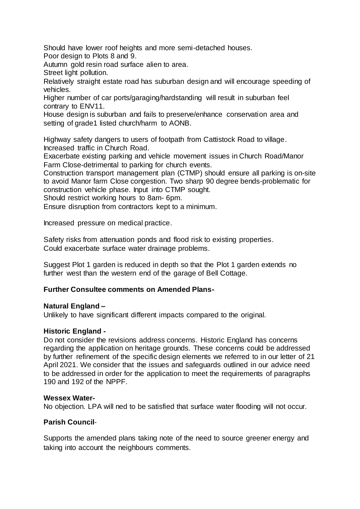Should have lower roof heights and more semi-detached houses. Poor design to Plots 8 and 9.

Autumn gold resin road surface alien to area.

Street light pollution.

Relatively straight estate road has suburban design and will encourage speeding of vehicles.

Higher number of car ports/garaging/hardstanding will result in suburban feel contrary to ENV11.

House design is suburban and fails to preserve/enhance conservation area and setting of grade1 listed church/harm to AONB.

Highway safety dangers to users of footpath from Cattistock Road to village. Increased traffic in Church Road.

Exacerbate existing parking and vehicle movement issues in Church Road/Manor Farm Close-detrimental to parking for church events.

Construction transport management plan (CTMP) should ensure all parking is on-site to avoid Manor farm Close congestion. Two sharp 90 degree bends-problematic for construction vehicle phase. Input into CTMP sought.

Should restrict working hours to 8am- 6pm.

Ensure disruption from contractors kept to a minimum.

Increased pressure on medical practice.

Safety risks from attenuation ponds and flood risk to existing properties. Could exacerbate surface water drainage problems.

Suggest Plot 1 garden is reduced in depth so that the Plot 1 garden extends no further west than the western end of the garage of Bell Cottage.

## **Further Consultee comments on Amended Plans-**

### **Natural England –**

Unlikely to have significant different impacts compared to the original.

### **Historic England -**

Do not consider the revisions address concerns. Historic England has concerns regarding the application on heritage grounds. These concerns could be addressed by further refinement of the specific design elements we referred to in our letter of 21 April 2021. We consider that the issues and safeguards outlined in our advice need to be addressed in order for the application to meet the requirements of paragraphs 190 and 192 of the NPPF.

### **Wessex Water-**

No objection. LPA will ned to be satisfied that surface water flooding will not occur.

## **Parish Council**-

Supports the amended plans taking note of the need to source greener energy and taking into account the neighbours comments.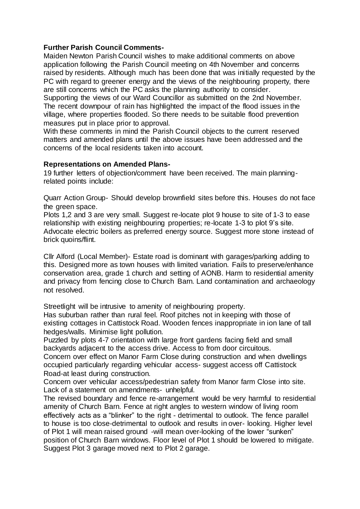## **Further Parish Council Comments-**

Maiden Newton Parish Council wishes to make additional comments on above application following the Parish Council meeting on 4th November and concerns raised by residents. Although much has been done that was initially requested by the PC with regard to greener energy and the views of the neighbouring property, there are still concerns which the PC asks the planning authority to consider.

Supporting the views of our Ward Councillor as submitted on the 2nd November. The recent downpour of rain has highlighted the impact of the flood issues in the village, where properties flooded. So there needs to be suitable flood prevention measures put in place prior to approval.

With these comments in mind the Parish Council objects to the current reserved matters and amended plans until the above issues have been addressed and the concerns of the local residents taken into account.

### **Representations on Amended Plans-**

19 further letters of objection/comment have been received. The main planningrelated points include:

Quarr Action Group- Should develop brownfield sites before this. Houses do not face the green space.

Plots 1,2 and 3 are very small. Suggest re-locate plot 9 house to site of 1-3 to ease relationship with existing neighbouring properties; re-locate 1-3 to plot 9's site. Advocate electric boilers as preferred energy source. Suggest more stone instead of brick quoins/flint.

Cllr Alford (Local Member)- Estate road is dominant with garages/parking adding to this. Designed more as town houses with limited variation. Fails to preserve/enhance conservation area, grade 1 church and setting of AONB. Harm to residential amenity and privacy from fencing close to Church Barn. Land contamination and archaeology not resolved.

Streetlight will be intrusive to amenity of neighbouring property.

Has suburban rather than rural feel. Roof pitches not in keeping with those of existing cottages in Cattistock Road. Wooden fences inappropriate in ion lane of tall hedges/walls. Minimise light pollution.

Puzzled by plots 4-7 orientation with large front gardens facing field and small backyards adjacent to the access drive. Access to from door circuitous.

Concern over effect on Manor Farm Close during construction and when dwellings occupied particularly regarding vehicular access- suggest access off Cattistock Road-at least during construction.

Concern over vehicular access/pedestrian safety from Manor farm Close into site. Lack of a statement on amendments- unhelpful.

The revised boundary and fence re-arrangement would be very harmful to residential amenity of Church Barn. Fence at right angles to western window of living room effectively acts as a "blinker" to the right - detrimental to outlook. The fence parallel to house is too close-detrimental to outlook and results in over- looking. Higher level of Plot 1 will mean raised ground -will mean over-looking of the lower "sunken" position of Church Barn windows. Floor level of Plot 1 should be lowered to mitigate. Suggest Plot 3 garage moved next to Plot 2 garage.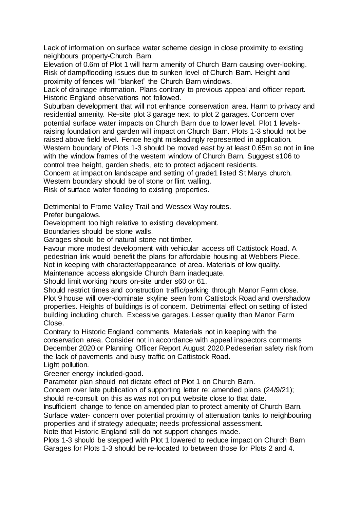Lack of information on surface water scheme design in close proximity to existing neighbours property-Church Barn.

Elevation of 0.6m of Plot 1 will harm amenity of Church Barn causing over-looking. Risk of damp/flooding issues due to sunken level of Church Barn. Height and proximity of fences will "blanket" the Church Barn windows.

Lack of drainage information. Plans contrary to previous appeal and officer report. Historic England observations not followed.

Suburban development that will not enhance conservation area. Harm to privacy and residential amenity. Re-site plot 3 garage next to plot 2 garages. Concern over potential surface water impacts on Church Barn due to lower level. Plot 1 levelsraising foundation and garden will impact on Church Barn. Plots 1-3 should not be

raised above field level. Fence height misleadingly represented in application.

Western boundary of Plots 1-3 should be moved east by at least 0.65m so not in line with the window frames of the western window of Church Barn. Suggest s106 to control tree height, garden sheds, etc to protect adjacent residents.

Concern at impact on landscape and setting of grade1 listed St Marys church.

Western boundary should be of stone or flint walling.

Risk of surface water flooding to existing properties.

Detrimental to Frome Valley Trail and Wessex Way routes.

Prefer bungalows.

Development too high relative to existing development.

Boundaries should be stone walls.

Garages should be of natural stone not timber.

Favour more modest development with vehicular access off Cattistock Road. A pedestrian link would benefit the plans for affordable housing at Webbers Piece. Not in keeping with character/appearance of area. Materials of low quality.

Maintenance access alongside Church Barn inadequate.

Should limit working hours on-site under s60 or 61.

Should restrict times and construction traffic/parking through Manor Farm close. Plot 9 house will over-dominate skyline seen from Cattistock Road and overshadow properties. Heights of buildings is of concern. Detrimental effect on setting of listed building including church. Excessive garages. Lesser quality than Manor Farm Close.

Contrary to Historic England comments. Materials not in keeping with the conservation area. Consider not in accordance with appeal inspectors comments December 2020 or Planning Officer Report August 2020.Pedeserian safety risk from the lack of pavements and busy traffic on Cattistock Road.

Light pollution.

Greener energy included-good.

Parameter plan should not dictate effect of Plot 1 on Church Barn.

Concern over late publication of supporting letter re: amended plans (24/9/21);

should re-consult on this as was not on put website close to that date.

Insufficient change to fence on amended plan to protect amenity of Church Barn. Surface water- concern over potential proximity of attenuation tanks to neighbouring properties and if strategy adequate; needs professional assessment. Note that Historic England still do not support changes made.

Plots 1-3 should be stepped with Plot 1 lowered to reduce impact on Church Barn Garages for Plots 1-3 should be re-located to between those for Plots 2 and 4.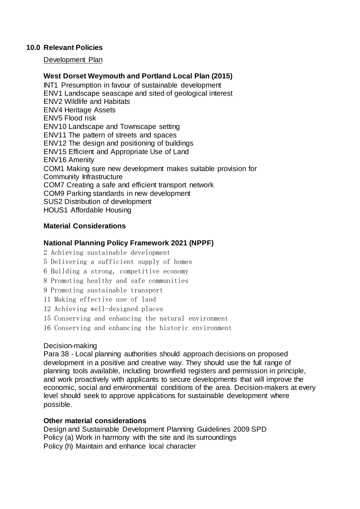## **10.0 Relevant Policies**

Development Plan

## **West Dorset Weymouth and Portland Local Plan (2015)**

INT1 Presumption in favour of sustainable development ENV1 Landscape seascape and sited of geological interest ENV2 Wildlife and Habitats ENV4 Heritage Assets ENV5 Flood risk ENV10 Landscape and Townscape setting ENV11 The pattern of streets and spaces ENV12 The design and positioning of buildings ENV15 Efficient and Appropriate Use of Land ENV16 Amenity COM1 Making sure new development makes suitable provision for Community Infrastructure COM7 Creating a safe and efficient transport network COM9 Parking standards in new development SUS2 Distribution of development HOUS1 Affordable Housing

## **Material Considerations**

### **National Planning Policy Framework 2021 (NPPF)**

- 2 Achieving sustainable development
- 5 Delivering a sufficient supply of homes
- 6 Building a strong, competitive economy
- 8 Promoting healthy and safe communities
- 9 Promoting sustainable transport
- 11 Making effective use of land
- 12 Achieving well-designed places
- 15 Conserving and enhancing the natural environment
- 16 Conserving and enhancing the historic environment

### Decision-making

Para 38 - Local planning authorities should approach decisions on proposed development in a positive and creative way. They should use the full range of planning tools available, including brownfield registers and permission in principle, and work proactively with applicants to secure developments that will improve the economic, social and environmental conditions of the area. Decision-makers at every level should seek to approve applications for sustainable development where possible.

### **Other material considerations**

Design and Sustainable Development Planning Guidelines 2009 SPD Policy (a) Work in harmony with the site and its surroundings Policy (h) Maintain and enhance local character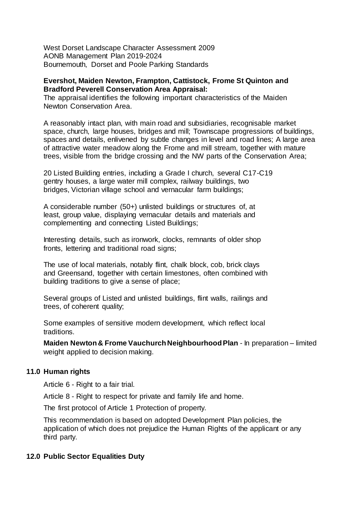West Dorset Landscape Character Assessment 2009 AONB Management Plan 2019-2024 Bournemouth, Dorset and Poole Parking Standards

### **Evershot, Maiden Newton, Frampton, Cattistock, Frome St Quinton and Bradford Peverell Conservation Area Appraisal:**

The appraisal identifies the following important characteristics of the Maiden Newton Conservation Area.

A reasonably intact plan, with main road and subsidiaries, recognisable market space, church, large houses, bridges and mill; Townscape progressions of buildings, spaces and details, enlivened by subtle changes in level and road lines; A large area of attractive water meadow along the Frome and mill stream, together with mature trees, visible from the bridge crossing and the NW parts of the Conservation Area;

20 Listed Building entries, including a Grade I church, several C17-C19 gentry houses, a large water mill complex, railway buildings, two bridges, Victorian village school and vernacular farm buildings;

A considerable number (50+) unlisted buildings or structures of, at least, group value, displaying vernacular details and materials and complementing and connecting Listed Buildings;

Interesting details, such as ironwork, clocks, remnants of older shop fronts, lettering and traditional road signs;

The use of local materials, notably flint, chalk block, cob, brick clays and Greensand, together with certain limestones, often combined with building traditions to give a sense of place;

Several groups of Listed and unlisted buildings, flint walls, railings and trees, of coherent quality;

Some examples of sensitive modern development, which reflect local traditions.

**Maiden Newton & Frome Vauchurch Neighbourhood Plan** - In preparation – limited weight applied to decision making.

## **11.0 Human rights**

Article 6 - Right to a fair trial.

Article 8 - Right to respect for private and family life and home.

The first protocol of Article 1 Protection of property.

This recommendation is based on adopted Development Plan policies, the application of which does not prejudice the Human Rights of the applicant or any third party.

## **12.0 Public Sector Equalities Duty**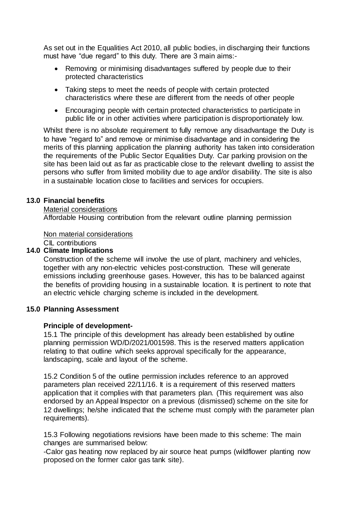As set out in the Equalities Act 2010, all public bodies, in discharging their functions must have "due regard" to this duty. There are 3 main aims:-

- Removing or minimising disadvantages suffered by people due to their protected characteristics
- Taking steps to meet the needs of people with certain protected characteristics where these are different from the needs of other people
- Encouraging people with certain protected characteristics to participate in public life or in other activities where participation is disproportionately low.

Whilst there is no absolute requirement to fully remove any disadvantage the Duty is to have "regard to" and remove or minimise disadvantage and in considering the merits of this planning application the planning authority has taken into consideration the requirements of the Public Sector Equalities Duty. Car parking provision on the site has been laid out as far as practicable close to the relevant dwelling to assist the persons who suffer from limited mobility due to age and/or disability. The site is also in a sustainable location close to facilities and services for occupiers.

### **13.0 Financial benefits**

Material considerations

Affordable Housing contribution from the relevant outline planning permission

Non material considerations

## C<sub>II</sub> contributions

## **14.0 Climate Implications**

Construction of the scheme will involve the use of plant, machinery and vehicles, together with any non-electric vehicles post-construction. These will generate emissions including greenhouse gases. However, this has to be balanced against the benefits of providing housing in a sustainable location. It is pertinent to note that an electric vehicle charging scheme is included in the development.

## **15.0 Planning Assessment**

### **Principle of development-**

15.1 The principle of this development has already been established by outline planning permission WD/D/2021/001598. This is the reserved matters application relating to that outline which seeks approval specifically for the appearance, landscaping, scale and layout of the scheme.

15.2 Condition 5 of the outline permission includes reference to an approved parameters plan received 22/11/16. It is a requirement of this reserved matters application that it complies with that parameters plan. (This requirement was also endorsed by an Appeal Inspector on a previous (dismissed) scheme on the site for 12 dwellings; he/she indicated that the scheme must comply with the parameter plan requirements).

15.3 Following negotiations revisions have been made to this scheme: The main changes are summarised below:

-Calor gas heating now replaced by air source heat pumps (wildflower planting now proposed on the former calor gas tank site).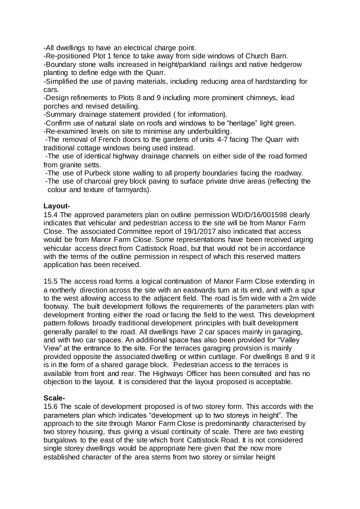-All dwellings to have an electrical charge point.

-Re-positioned Plot 1 fence to take away from side windows of Church Barn. -Boundary stone walls increased in height/parkland railings and native hedgerow planting to define edge with the Quarr.

-Simplified the use of paving materials, including reducing area of hardstanding for cars.

-Design refinements to Plots 8 and 9 including more prominent chimneys, lead porches and revised detailing.

-Summary drainage statement provided ( for information).

-Confirm use of natural slate on roofs and windows to be "heritage" light green. -Re-examined levels on site to minimise any underbuilding.

-The removal of French doors to the gardens of units 4-7 facing The Quarr with traditional cottage windows being used instead.

-The use of identical highway drainage channels on either side of the road formed from granite setts.

-The use of Purbeck stone walling to all property boundaries facing the roadway.

-The use of charcoal grey block paving to surface private drive areas (reflecting the colour and texture of farmyards).

## **Layout-**

15.4 The approved parameters plan on outline permission WD/D/16/001598 clearly indicates that vehicular and pedestrian access to the site will be from Manor Farm Close. The associated Committee report of 19/1/2017 also indicated that access would be from Manor Farm Close. Some representations have been received urging vehicular access direct from Cattistock Road, but that would not be in accordance with the terms of the outline permission in respect of which this reserved matters application has been received.

15.5 The access road forms a logical continuation of Manor Farm Close extending in a northerly direction across the site with an eastwards turn at its end, and with a spur to the west allowing access to the adjacent field. The road is 5m wide with a 2m wide footway. The built development follows the requirements of the parameters plan with development fronting either the road or facing the field to the west. This development pattern follows broadly traditional development principles with built development generally parallel to the road. All dwellings have 2 car spaces mainly in garaging, and with two car spaces. An additional space has also been provided for "Valley View" at the entrance to the site. For the terraces garaging provision is mainly provided opposite the associated dwelling or within curtilage. For dwellings 8 and 9 it is in the form of a shared garage block. Pedestrian access to the terraces is available from front and rear. The Highways Officer has been consulted and has no objection to the layout. It is considered that the layout proposed is acceptable.

## **Scale-**

15.6 The scale of development proposed is of two storey form. This accords with the parameters plan which indicates "development up to two storeys in height". The approach to the site through Manor Farm Close is predominantly characterised by two storey housing, thus giving a visual continuity of scale. There are two existing bungalows to the east of the site which front Cattistock Road. It is not considered single storey dwellings would be appropriate here given that the now more established character of the area stems from two storey or similar height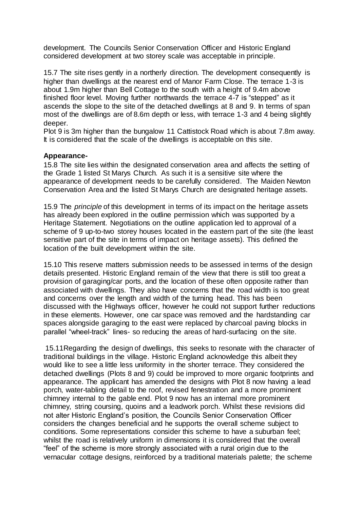development. The Councils Senior Conservation Officer and Historic England considered development at two storey scale was acceptable in principle.

15.7 The site rises gently in a northerly direction. The development consequently is higher than dwellings at the nearest end of Manor Farm Close. The terrace 1-3 is about 1.9m higher than Bell Cottage to the south with a height of 9.4m above finished floor level. Moving further northwards the terrace 4-7 is "stepped" as it ascends the slope to the site of the detached dwellings at 8 and 9. In terms of span most of the dwellings are of 8.6m depth or less, with terrace 1-3 and 4 being slightly deeper.

Plot 9 is 3m higher than the bungalow 11 Cattistock Road which is about 7.8m away. It is considered that the scale of the dwellings is acceptable on this site.

### **Appearance-**

15.8 The site lies within the designated conservation area and affects the setting of the Grade 1 listed St Marys Church. As such it is a sensitive site where the appearance of development needs to be carefully considered. The Maiden Newton Conservation Area and the listed St Marys Church are designated heritage assets.

15.9 The *principle* of this development in terms of its impact on the heritage assets has already been explored in the outline permission which was supported by a Heritage Statement. Negotiations on the outline application led to approval of a scheme of 9 up-to-two storey houses located in the eastern part of the site (the least sensitive part of the site in terms of impact on heritage assets). This defined the location of the built development within the site.

15.10 This reserve matters submission needs to be assessed in terms of the design details presented. Historic England remain of the view that there is still too great a provision of garaging/car ports, and the location of these often opposite rather than associated with dwellings. They also have concerns that the road width is too great and concerns over the length and width of the turning head. This has been discussed with the Highways officer, however he could not support further reductions in these elements. However, one car space was removed and the hardstanding car spaces alongside garaging to the east were replaced by charcoal paving blocks in parallel "wheel-track" lines- so reducing the areas of hard-surfacing on the site.

15.11Regarding the design of dwellings, this seeks to resonate with the character of traditional buildings in the village. Historic England acknowledge this albeit they would like to see a little less uniformity in the shorter terrace. They considered the detached dwellings (Plots 8 and 9) could be improved to more organic footprints and appearance. The applicant has amended the designs with Plot 8 now having a lead porch, water-tabling detail to the roof, revised fenestration and a more prominent chimney internal to the gable end. Plot 9 now has an internal more prominent chimney, string coursing, quoins and a leadwork porch. Whilst these revisions did not alter Historic England's position, the Councils Senior Conservation Officer considers the changes beneficial and he supports the overall scheme subject to conditions. Some representations consider this scheme to have a suburban feel; whilst the road is relatively uniform in dimensions it is considered that the overall "feel" of the scheme is more strongly associated with a rural origin due to the vernacular cottage designs, reinforced by a traditional materials palette; the scheme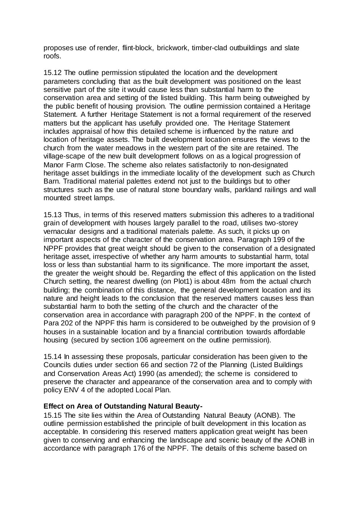proposes use of render, flint-block, brickwork, timber-clad outbuildings and slate roofs.

15.12 The outline permission stipulated the location and the development parameters concluding that as the built development was positioned on the least sensitive part of the site it would cause less than substantial harm to the conservation area and setting of the listed building. This harm being outweighed by the public benefit of housing provision. The outline permission contained a Heritage Statement. A further Heritage Statement is not a formal requirement of the reserved matters but the applicant has usefully provided one. The Heritage Statement includes appraisal of how this detailed scheme is influenced by the nature and location of heritage assets. The built development location ensures the views to the church from the water meadows in the western part of the site are retained. The village-scape of the new built development follows on as a logical progression of Manor Farm Close. The scheme also relates satisfactorily to non-designated heritage asset buildings in the immediate locality of the development such as Church Barn. Traditional material palettes extend not just to the buildings but to other structures such as the use of natural stone boundary walls, parkland railings and wall mounted street lamps.

15.13 Thus, in terms of this reserved matters submission this adheres to a traditional grain of development with houses largely parallel to the road, utilises two-storey vernacular designs and a traditional materials palette. As such, it picks up on important aspects of the character of the conservation area. Paragraph 199 of the NPPF provides that great weight should be given to the conservation of a designated heritage asset, irrespective of whether any harm amounts to substantial harm, total loss or less than substantial harm to its significance. The more important the asset, the greater the weight should be. Regarding the effect of this application on the listed Church setting, the nearest dwelling (on Plot1) is about 48m from the actual church building; the combination of this distance, the general development location and its nature and height leads to the conclusion that the reserved matters causes less than substantial harm to both the setting of the church and the character of the conservation area in accordance with paragraph 200 of the NPPF. In the context of Para 202 of the NPPF this harm is considered to be outweighed by the provision of 9 houses in a sustainable location and by a financial contribution towards affordable housing (secured by section 106 agreement on the outline permission).

15.14 In assessing these proposals, particular consideration has been given to the Councils duties under section 66 and section 72 of the Planning (Listed Buildings and Conservation Areas Act) 1990 (as amended); the scheme is considered to preserve the character and appearance of the conservation area and to comply with policy ENV 4 of the adopted Local Plan.

### **Effect on Area of Outstanding Natural Beauty-**

15.15 The site lies within the Area of Outstanding Natural Beauty (AONB). The outline permission established the principle of built development in this location as acceptable. In considering this reserved matters application great weight has been given to conserving and enhancing the landscape and scenic beauty of the AONB in accordance with paragraph 176 of the NPPF. The details of this scheme based on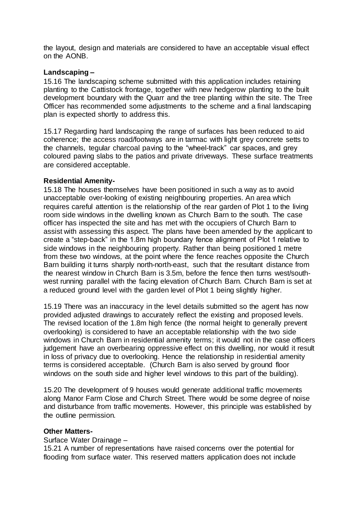the layout, design and materials are considered to have an acceptable visual effect on the AONB.

### **Landscaping –**

15.16 The landscaping scheme submitted with this application includes retaining planting to the Cattistock frontage, together with new hedgerow planting to the built development boundary with the Quarr and the tree planting within the site. The Tree Officer has recommended some adjustments to the scheme and a final landscaping plan is expected shortly to address this.

15.17 Regarding hard landscaping the range of surfaces has been reduced to aid coherence; the access road/footways are in tarmac with light grey concrete setts to the channels, tegular charcoal paving to the "wheel-track" car spaces, and grey coloured paving slabs to the patios and private driveways. These surface treatments are considered acceptable.

### **Residential Amenity-**

15.18 The houses themselves have been positioned in such a way as to avoid unacceptable over-looking of existing neighbouring properties. An area which requires careful attention is the relationship of the rear garden of Plot 1 to the living room side windows in the dwelling known as Church Barn to the south. The case officer has inspected the site and has met with the occupiers of Church Barn to assist with assessing this aspect. The plans have been amended by the applicant to create a "step-back" in the 1.8m high boundary fence alignment of Plot 1 relative to side windows in the neighbouring property. Rather than being positioned 1 metre from these two windows, at the point where the fence reaches opposite the Church Barn building it turns sharply north-north-east, such that the resultant distance from the nearest window in Church Barn is 3.5m, before the fence then turns west/southwest running parallel with the facing elevation of Church Barn. Church Barn is set at a reduced ground level with the garden level of Plot 1 being slightly higher.

15.19 There was an inaccuracy in the level details submitted so the agent has now provided adjusted drawings to accurately reflect the existing and proposed levels. The revised location of the 1.8m high fence (the normal height to generally prevent overlooking) is considered to have an acceptable relationship with the two side windows in Church Barn in residential amenity terms; it would not in the case officers judgement have an overbearing oppressive effect on this dwelling, nor would it result in loss of privacy due to overlooking. Hence the relationship in residential amenity terms is considered acceptable. (Church Barn is also served by ground floor windows on the south side and higher level windows to this part of the building).

15.20 The development of 9 houses would generate additional traffic movements along Manor Farm Close and Church Street. There would be some degree of noise and disturbance from traffic movements. However, this principle was established by the outline permission.

### **Other Matters-**

### Surface Water Drainage –

15.21 A number of representations have raised concerns over the potential for flooding from surface water. This reserved matters application does not include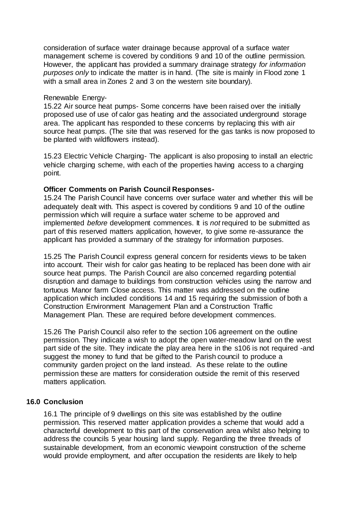consideration of surface water drainage because approval of a surface water management scheme is covered by conditions 9 and 10 of the outline permission. However, the applicant has provided a summary drainage strategy *for information purposes only* to indicate the matter is in hand. (The site is mainly in Flood zone 1 with a small area in Zones 2 and 3 on the western site boundary).

### Renewable Energy-

15.22 Air source heat pumps- Some concerns have been raised over the initially proposed use of use of calor gas heating and the associated underground storage area. The applicant has responded to these concerns by replacing this with air source heat pumps. (The site that was reserved for the gas tanks is now proposed to be planted with wildflowers instead).

15.23 Electric Vehicle Charging- The applicant is also proposing to install an electric vehicle charging scheme, with each of the properties having access to a charging point.

## **Officer Comments on Parish Council Responses-**

15.24 The Parish Council have concerns over surface water and whether this will be adequately dealt with. This aspect is covered by conditions 9 and 10 of the outline permission which will require a surface water scheme to be approved and implemented *before* development commences. It is *not* required to be submitted as part of this reserved matters application, however, to give some re-assurance the applicant has provided a summary of the strategy for information purposes.

15.25 The Parish Council express general concern for residents views to be taken into account. Their wish for calor gas heating to be replaced has been done with air source heat pumps. The Parish Council are also concerned regarding potential disruption and damage to buildings from construction vehicles using the narrow and tortuous Manor farm Close access. This matter was addressed on the outline application which included conditions 14 and 15 requiring the submission of both a Construction Environment Management Plan and a Construction Traffic Management Plan. These are required before development commences.

15.26 The Parish Council also refer to the section 106 agreement on the outline permission. They indicate a wish to adopt the open water-meadow land on the west part side of the site. They indicate the play area here in the s106 is not required -and suggest the money to fund that be gifted to the Parish council to produce a community garden project on the land instead. As these relate to the outline permission these are matters for consideration outside the remit of this reserved matters application.

## **16.0 Conclusion**

16.1 The principle of 9 dwellings on this site was established by the outline permission. This reserved matter application provides a scheme that would add a characterful development to this part of the conservation area whilst also helping to address the councils 5 year housing land supply. Regarding the three threads of sustainable development, from an economic viewpoint construction of the scheme would provide employment, and after occupation the residents are likely to help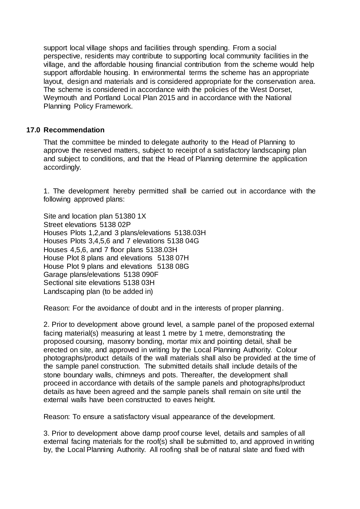support local village shops and facilities through spending. From a social perspective, residents may contribute to supporting local community facilities in the village, and the affordable housing financial contribution from the scheme would help support affordable housing. In environmental terms the scheme has an appropriate layout, design and materials and is considered appropriate for the conservation area. The scheme is considered in accordance with the policies of the West Dorset, Weymouth and Portland Local Plan 2015 and in accordance with the National Planning Policy Framework.

### **17.0 Recommendation**

That the committee be minded to delegate authority to the Head of Planning to approve the reserved matters, subject to receipt of a satisfactory landscaping plan and subject to conditions, and that the Head of Planning determine the application accordingly.

1. The development hereby permitted shall be carried out in accordance with the following approved plans:

Site and location plan 51380 1X Street elevations 5138 02P Houses Plots 1,2,and 3 plans/elevations 5138.03H Houses Plots 3,4,5,6 and 7 elevations 5138 04G Houses 4,5,6, and 7 floor plans 5138.03H House Plot 8 plans and elevations 5138 07H House Plot 9 plans and elevations 5138 08G Garage plans/elevations 5138 090F Sectional site elevations 5138 03H Landscaping plan (to be added in)

Reason: For the avoidance of doubt and in the interests of proper planning.

2. Prior to development above ground level, a sample panel of the proposed external facing material(s) measuring at least 1 metre by 1 metre, demonstrating the proposed coursing, masonry bonding, mortar mix and pointing detail, shall be erected on site, and approved in writing by the Local Planning Authority. Colour photographs/product details of the wall materials shall also be provided at the time of the sample panel construction. The submitted details shall include details of the stone boundary walls, chimneys and pots. Thereafter, the development shall proceed in accordance with details of the sample panels and photographs/product details as have been agreed and the sample panels shall remain on site until the external walls have been constructed to eaves height.

Reason: To ensure a satisfactory visual appearance of the development.

3. Prior to development above damp proof course level, details and samples of all external facing materials for the roof(s) shall be submitted to, and approved in writing by, the Local Planning Authority. All roofing shall be of natural slate and fixed with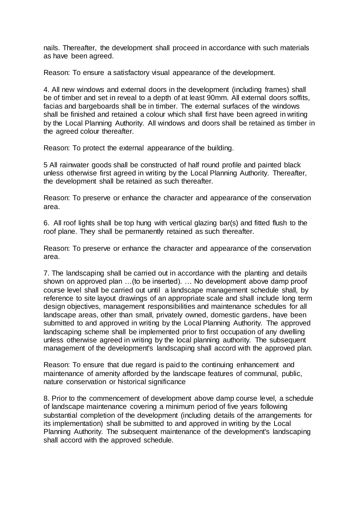nails. Thereafter, the development shall proceed in accordance with such materials as have been agreed.

Reason: To ensure a satisfactory visual appearance of the development.

4. All new windows and external doors in the development (including frames) shall be of timber and set in reveal to a depth of at least 90mm. All external doors soffits, facias and bargeboards shall be in timber. The external surfaces of the windows shall be finished and retained a colour which shall first have been agreed in writing by the Local Planning Authority. All windows and doors shall be retained as timber in the agreed colour thereafter.

Reason: To protect the external appearance of the building.

5 All rainwater goods shall be constructed of half round profile and painted black unless otherwise first agreed in writing by the Local Planning Authority. Thereafter, the development shall be retained as such thereafter.

Reason: To preserve or enhance the character and appearance of the conservation area.

6. All roof lights shall be top hung with vertical glazing bar(s) and fitted flush to the roof plane. They shall be permanently retained as such thereafter.

Reason: To preserve or enhance the character and appearance of the conservation area.

7. The landscaping shall be carried out in accordance with the planting and details shown on approved plan …(to be inserted). … No development above damp proof course level shall be carried out until a landscape management schedule shall, by reference to site layout drawings of an appropriate scale and shall include long term design objectives, management responsibilities and maintenance schedules for all landscape areas, other than small, privately owned, domestic gardens, have been submitted to and approved in writing by the Local Planning Authority. The approved landscaping scheme shall be implemented prior to first occupation of any dwelling unless otherwise agreed in writing by the local planning authority. The subsequent management of the development's landscaping shall accord with the approved plan.

Reason: To ensure that due regard is paid to the continuing enhancement and maintenance of amenity afforded by the landscape features of communal, public, nature conservation or historical significance

8. Prior to the commencement of development above damp course level, a schedule of landscape maintenance covering a minimum period of five years following substantial completion of the development (including details of the arrangements for its implementation) shall be submitted to and approved in writing by the Local Planning Authority. The subsequent maintenance of the development's landscaping shall accord with the approved schedule.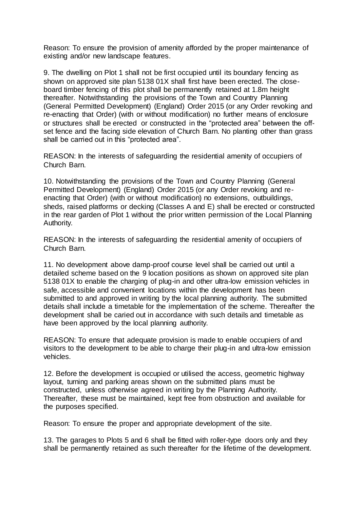Reason: To ensure the provision of amenity afforded by the proper maintenance of existing and/or new landscape features.

9. The dwelling on Plot 1 shall not be first occupied until its boundary fencing as shown on approved site plan 5138 01X shall first have been erected. The closeboard timber fencing of this plot shall be permanently retained at 1.8m height thereafter. Notwithstanding the provisions of the Town and Country Planning (General Permitted Development) (England) Order 2015 (or any Order revoking and re-enacting that Order) (with or without modification) no further means of enclosure or structures shall be erected or constructed in the "protected area" between the offset fence and the facing side elevation of Church Barn. No planting other than grass shall be carried out in this "protected area".

REASON: In the interests of safeguarding the residential amenity of occupiers of Church Barn.

10. Notwithstanding the provisions of the Town and Country Planning (General Permitted Development) (England) Order 2015 (or any Order revoking and reenacting that Order) (with or without modification) no extensions, outbuildings, sheds, raised platforms or decking (Classes A and E) shall be erected or constructed in the rear garden of Plot 1 without the prior written permission of the Local Planning Authority.

REASON: In the interests of safeguarding the residential amenity of occupiers of Church Barn.

11. No development above damp-proof course level shall be carried out until a detailed scheme based on the 9 location positions as shown on approved site plan 5138 01X to enable the charging of plug-in and other ultra-low emission vehicles in safe, accessible and convenient locations within the development has been submitted to and approved in writing by the local planning authority. The submitted details shall include a timetable for the implementation of the scheme. Thereafter the development shall be caried out in accordance with such details and timetable as have been approved by the local planning authority.

REASON: To ensure that adequate provision is made to enable occupiers of and visitors to the development to be able to charge their plug-in and ultra-low emission vehicles.

12. Before the development is occupied or utilised the access, geometric highway layout, turning and parking areas shown on the submitted plans must be constructed, unless otherwise agreed in writing by the Planning Authority. Thereafter, these must be maintained, kept free from obstruction and available for the purposes specified.

Reason: To ensure the proper and appropriate development of the site.

13. The garages to Plots 5 and 6 shall be fitted with roller-type doors only and they shall be permanently retained as such thereafter for the lifetime of the development.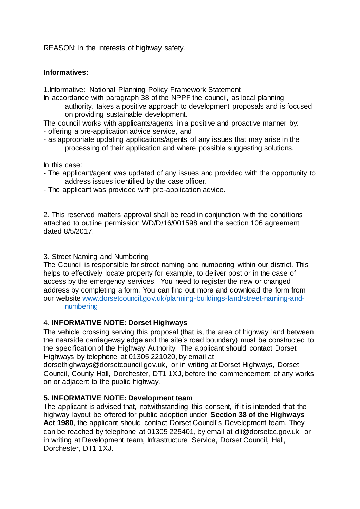REASON: In the interests of highway safety.

### **Informatives:**

1.Informative: National Planning Policy Framework Statement

- In accordance with paragraph 38 of the NPPF the council, as local planning authority, takes a positive approach to development proposals and is focused on providing sustainable development.
- The council works with applicants/agents in a positive and proactive manner by: - offering a pre-application advice service, and
- as appropriate updating applications/agents of any issues that may arise in the processing of their application and where possible suggesting solutions.

In this case:

- The applicant/agent was updated of any issues and provided with the opportunity to address issues identified by the case officer.
- The applicant was provided with pre-application advice.

2. This reserved matters approval shall be read in conjunction with the conditions attached to outline permission WD/D/16/001598 and the section 106 agreement dated 8/5/2017.

### 3. Street Naming and Numbering

The Council is responsible for street naming and numbering within our district. This helps to effectively locate property for example, to deliver post or in the case of access by the emergency services. You need to register the new or changed address by completing a form. You can find out more and download the form from our website [www.dorsetcouncil.gov.uk/planning-buildings-land/street-naming-and](http://www.dorsetcouncil.gov.uk/planning-buildings-land/street-naming-and-numbering)[numbering](http://www.dorsetcouncil.gov.uk/planning-buildings-land/street-naming-and-numbering)

## 4. **INFORMATIVE NOTE: Dorset Highways**

The vehicle crossing serving this proposal (that is, the area of highway land between the nearside carriageway edge and the site's road boundary) must be constructed to the specification of the Highway Authority. The applicant should contact Dorset Highways by telephone at 01305 221020, by email at

dorsethighways@dorsetcouncil.gov.uk, or in writing at Dorset Highways, Dorset Council, County Hall, Dorchester, DT1 1XJ, before the commencement of any works on or adjacent to the public highway.

### **5. INFORMATIVE NOTE: Development team**

The applicant is advised that, notwithstanding this consent, if it is intended that the highway layout be offered for public adoption under **Section 38 of the Highways Act 1980**, the applicant should contact Dorset Council's Development team. They can be reached by telephone at 01305 225401, by email at dli@dorsetcc.gov.uk, or in writing at Development team, Infrastructure Service, Dorset Council, Hall, Dorchester, DT1 1XJ.